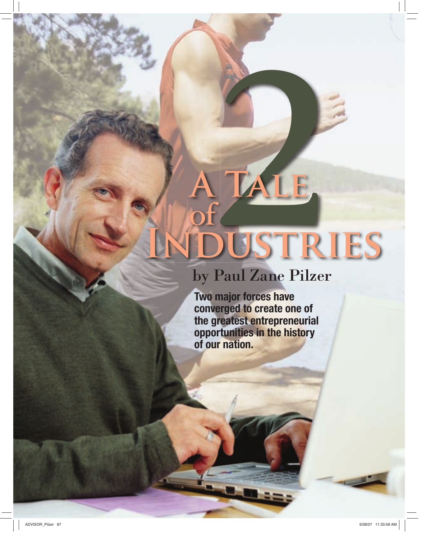# **Industries of A TALE**<br>
of<br>
DUSTR

# by Paul Zane Pilzer

**Two major forces have converged to create one of the greatest entrepreneurial opportunities in the history of our nation.**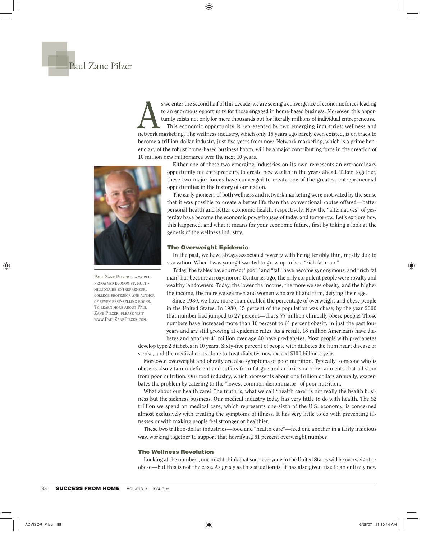# Paul Zane Pilzer

swe enter the second half of this decade, we are seeing a convergence of economic forces leading<br>to an enormous opportunity for those engaged in home-based business. Moreover, this oppor-<br>tunity exists not only for mere th to an enormous opportunity for those engaged in home-based business. Moreover, this opportunity exists not only for mere thousands but for literally millions of individual entrepreneurs. This economic opportunity is represented by two emerging industries: wellness and network marketing. The wellness industry, which only 15 years ago barely even existed, is on track to become a trillion-dollar industry just five years from now. Network marketing, which is a prime beneficiary of the robust home-based business boom, will be a major contributing force in the creation of 10 million new millionaires over the next 10 years.



**PAUL ZANE PILZER IS A WORLD-RENOWNED ECONOMIST, MULTI-MILLIONAIRE ENTREPRENEUR, COLLEGE PROFESSOR AND AUTHOR OF SEVEN BEST-SELLING BOOKS. TO LEARN MORE ABOUT PAUL ZANE PILZER, PLEASE VISIT WWW.PAULZANEPILZER.COM.**

Either one of these two emerging industries on its own represents an extraordinary opportunity for entrepreneurs to create new wealth in the years ahead. Taken together, these two major forces have converged to create one of the greatest entrepreneurial opportunities in the history of our nation.

The early pioneers of both wellness and network marketing were motivated by the sense that it was possible to create a better life than the conventional routes offered—better personal health and better economic health, respectively. Now the "alternatives" of yesterday have become the economic powerhouses of today and tomorrow. Let's explore how this happened, and what it means for your economic future, first by taking a look at the genesis of the wellness industry.

## **The Overweight Epidemic**

In the past, we have always associated poverty with being terribly thin, mostly due to starvation. When I was young I wanted to grow up to be a "rich fat man."

Today, the tables have turned; "poor" and "fat" have become synonymous, and "rich fat man" has become an oxymoron! Centuries ago, the only corpulent people were royalty and wealthy landowners. Today, the lower the income, the more we see obesity, and the higher the income, the more we see men and women who are fi t and trim, defying their age.

Since 1980, we have more than doubled the percentage of overweight and obese people in the United States. In 1980, 15 percent of the population was obese; by the year 2000 that number had jumped to 27 percent—that's 77 million clinically obese people! Those numbers have increased more than 10 percent to 61 percent obesity in just the past four years and are still growing at epidemic rates. As a result, 18 million Americans have diabetes and another 41 million over age 40 have prediabetes. Most people with prediabetes

develop type 2 diabetes in 10 years. Sixty-five percent of people with diabetes die from heart disease or stroke, and the medical costs alone to treat diabetes now exceed \$100 billion a year.

Moreover, overweight and obesity are also symptoms of poor nutrition. Typically, someone who is obese is also vitamin-deficient and suffers from fatigue and arthritis or other ailments that all stem from poor nutrition. Our food industry, which represents about one trillion dollars annually, exacerbates the problem by catering to the "lowest common denominator" of poor nutrition.

What about our health care? The truth is, what we call "health care" is not really the health business but the sickness business. Our medical industry today has very little to do with health. The \$2 trillion we spend on medical care, which represents one-sixth of the U.S. economy, is concerned almost exclusively with treating the symptoms of illness. It has very little to do with preventing illnesses or with making people feel stronger or healthier.

These two trillion-dollar industries—food and "health care"—feed one another in a fairly insidious way, working together to support that horrifying 61 percent overweight number.

### **The Wellness Revolution**

Looking at the numbers, one might think that soon everyone in the United States will be overweight or obese—but this is not the case. As grisly as this situation is, it has also given rise to an entirely new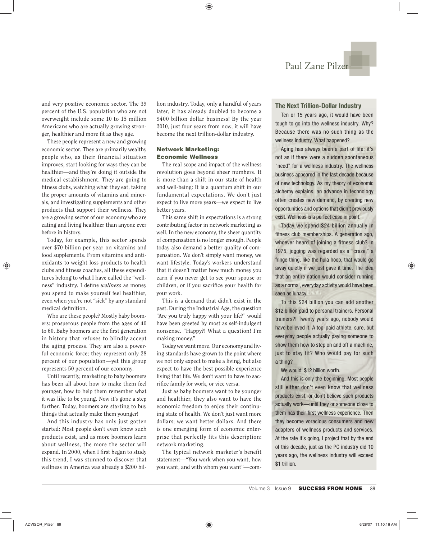and very positive economic sector. The 39 percent of the U.S. population who are not overweight include some 10 to 15 million Americans who are actually growing stronger, healthier and more fit as they age.

These people represent a new and growing economic sector. They are primarily wealthy people who, as their financial situation improves, start looking for ways they can be healthier—and they're doing it outside the medical establishment. They are going to fitness clubs, watching what they eat, taking the proper amounts of vitamins and minerals, and investigating supplements and other products that support their wellness. They are a growing sector of our economy who are eating and living healthier than anyone ever before in history.

Today, for example, this sector spends over \$70 billion per year on vitamins and food supplements. From vitamins and antioxidants to weight loss products to health clubs and fitness coaches, all these expenditures belong to what I have called the "wellness" industry. I define *wellness* as money you spend to make yourself feel healthier, even when you're not "sick" by any standard medical definition.

Who are these people? Mostly baby boomers: prosperous people from the ages of 40 to 60. Baby boomers are the first generation in history that refuses to blindly accept the aging process. They are also a powerful economic force; they represent only 28 percent of our population—yet this group represents 50 percent of our economy.

Until recently, marketing to baby boomers has been all about how to make them feel younger, how to help them remember what it was like to be young. Now it's gone a step further. Today, boomers are starting to buy things that actually make them younger!

And this industry has only just gotten started: Most people don't even know such products exist, and as more boomers learn about wellness, the more the sector will expand. In 2000, when I first began to study this trend, I was stunned to discover that wellness in America was already a \$200 billion industry. Today, only a handful of years later, it has already doubled to become a \$400 billion dollar business! By the year 2010, just four years from now, it will have become the next trillion-dollar industry.

# **Network Marketing: Economic Wellness**

The real scope and impact of the wellness revolution goes beyond sheer numbers. It is more than a shift in our state of health and well-being: It is a quantum shift in our fundamental expectations. We don't just expect to live more years—we expect to live better years.

This same shift in expectations is a strong contributing factor in network marketing as well. In the new economy, the sheer quantity of compensation is no longer enough. People today also demand a better quality of compensation. We don't simply want money, we want lifestyle. Today's workers understand that it doesn't matter how much money you earn if you never get to see your spouse or children, or if you sacrifice your health for your work.

This is a demand that didn't exist in the past. During the Industrial Age, the question "Are you truly happy with your life?" would have been greeted by most as self-indulgent nonsense. "Happy?! What a question! I'm making money."

Today we want more. Our economy and living standards have grown to the point where we not only expect to make a living, but also expect to have the best possible experience living that life. We don't want to have to sacrifice family for work, or vice versa.

Just as baby boomers want to be younger and healthier, they also want to have the economic freedom to enjoy their continuing state of health. We don't just want more dollars; we want better dollars. And there is one emerging form of economic enterprise that perfectly fits this description: network marketing.

The typical network marketer's benefit statement—"You work when you want, how you want, and with whom you want"—com-

# **The Next Trillion-Dollar Industry**

Ten or 15 years ago, it would have been tough to go into the wellness industry. Why? Because there was no such thing as the wellness industry. What happened?

Aging has always been a part of life; it's not as if there were a sudden spontaneous "need" for a wellness industry. The wellness business appeared in the last decade because of new technology. As my theory of economic alchemy explains, an advance in technology often creates new demand, by creating new opportunities and options that didn't previously exist. Wellness is a perfect case in point.

Today we spend \$24 billion annually in fitness club memberships. A generation ago, whoever heard of joining a fitness club? In 1975, jogging was regarded as a "craze," a fringe thing, like the hula hoop, that would go away quietly if we just gave it time. The idea that an entire nation would consider running as a normal, everyday activity would have been seen as lunacy.

To this \$24 billion you can add another \$12 billion paid to personal trainers. Personal trainers?! Twenty years ago, nobody would have believed it. A top-paid athlete, sure, but everyday people actually paying someone to show them how to step on and off a machine, just to stay fit? Who would pay for such a thing?

We would: \$12 billion worth.

And this is only the beginning. Most people still either don't even know that wellness products exist, or don't believe such products actually work—until they or someone close to them has their first wellness experience. Then they become voracious consumers and new adapters of wellness products and services. At the rate it's going, I project that by the end of this decade, just as the PC industry did 10 years ago, the wellness industry will exceed \$1 trillion.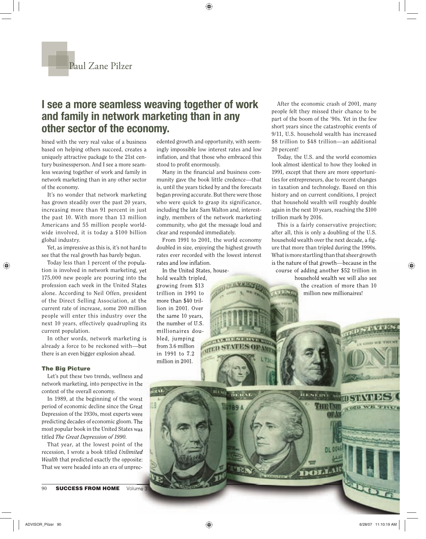# **I see a more seamless weaving together of work and family in network marketing than in any other sector of the economy.**

bined with the very real value of a business based on helping others succeed, creates a uniquely attractive package to the 21st century businessperson. And I see a more seamless weaving together of work and family in network marketing than in any other sector of the economy.

It's no wonder that network marketing has grown steadily over the past 20 years, increasing more than 91 percent in just the past 10. With more than 13 million Americans and 55 million people worldwide involved, it is today a \$100 billion global industry.

Yet, as impressive as this is, it's not hard to see that the real growth has barely begun.

Today less than 1 percent of the population is involved in network marketing, yet 175,000 new people are pouring into the profession each week in the United States alone. According to Neil Offen, president of the Direct Selling Association, at the current rate of increase, some 200 million people will enter this industry over the next 10 years, effectively quadrupling its current population.

In other words, network marketing is already a force to be reckoned with—but there is an even bigger explosion ahead.

# **The Big Picture**

Let's put these two trends, wellness and network marketing, into perspective in the context of the overall economy.

In 1989, at the beginning of the worst period of economic decline since the Great Depression of the 1930s, most experts were predicting decades of economic gloom. The most popular book in the United States was titled *The Great Depression of 1990.*

That year, at the lowest point of the recession, I wrote a book titled *Unlimited Wealth* that predicted exactly the opposite: That we were headed into an era of unprec-

90 **SUCCESS FROM HOME** Volume 3

edented growth and opportunity, with seemingly impossible low interest rates and low inflation, and that those who embraced this stood to profit enormously.

Many in the financial and business community gave the book little credence—that is, until the years ticked by and the forecasts began proving accurate. But there were those who were quick to grasp its significance, including the late Sam Walton and, interestingly, members of the network marketing community, who got the message loud and clear and responded immediately.

From 1991 to 2001, the world economy doubled in size, enjoying the highest growth rates ever recorded with the lowest interest rates and low inflation.

**STERN PLATFIED** 

**TELELAR** 

1789 A

**HIND** 

**SOPAMP** 

In the United States, household wealth tripled, growing from \$13 trillion in 1991 to more than \$40 trillion in 2001. Over the same 10 years, the number of U.S. millionaires doubled, jumping from 3.6 million in 1991 to 7.2 million in 2001.

After the economic crash of 2001, many people felt they missed their chance to be part of the boom of the '90s. Yet in the few short years since the catastrophic events of 9/11, U.S. household wealth has increased \$8 trillion to \$48 trillion—an additional 20 percent!

Today, the U.S. and the world economies look almost identical to how they looked in 1991, except that there are more opportunities for entrepreneurs, due to recent changes in taxation and technology. Based on this history and on current conditions, I project that household wealth will roughly double again in the next 10 years, reaching the \$100 trillion mark by 2016.

This is a fairly conservative projection; after all, this is only a doubling of the U.S. household wealth over the next decade, a figure that more than tripled during the 1990s. What is more startling than that sheer growth is the nature of that growth—because in the course of adding another \$52 trillion in household wealth we will also see the creation of more than 10 million new millionaires!

**RESISTENT** 

DOMAL

College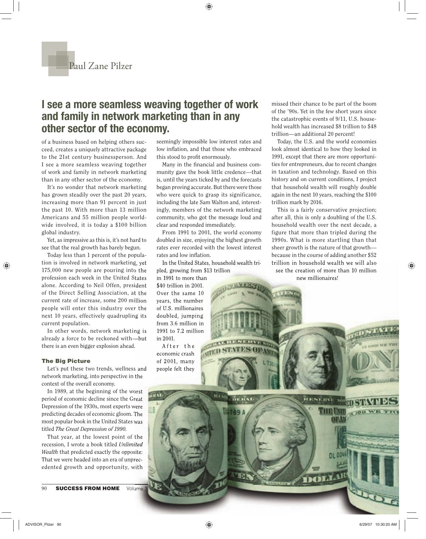# **I see a more seamless weaving together of work and family in network marketing than in any other sector of the economy.**

of a business based on helping others succeed, creates a uniquely attractive package to the 21st century businessperson. And I see a more seamless weaving together of work and family in network marketing than in any other sector of the economy.

It's no wonder that network marketing has grown steadily over the past 20 years, increasing more than 91 percent in just the past 10. With more than 13 million Americans and 55 million people worldwide involved, it is today a \$100 billion global industry.

Yet, as impressive as this is, it's not hard to see that the real growth has barely begun.

Today less than 1 percent of the population is involved in network marketing, yet 175,000 new people are pouring into the profession each week in the United States alone. According to Neil Offen, president of the Direct Selling Association, at the current rate of increase, some 200 million people will enter this industry over the next 10 years, effectively quadrupling its current population.

In other words, network marketing is already a force to be reckoned with—but there is an even bigger explosion ahead.

## **The Big Picture**

Let's put these two trends, wellness and network marketing, into perspective in the context of the overall economy.

In 1989, at the beginning of the worst period of economic decline since the Great Depression of the 1930s, most experts were predicting decades of economic gloom. The most popular book in the United States was titled *The Great Depression of 1990.*

That year, at the lowest point of the recession, I wrote a book titled *Unlimited Wealth* that predicted exactly the opposite: That we were headed into an era of unprecedented growth and opportunity, with

90 **SUCCESS FROM HOME** Volume 3

seemingly impossible low interest rates and low inflation, and that those who embraced this stood to profit enormously.

Many in the financial and business community gave the book little credence—that is, until the years ticked by and the forecasts began proving accurate. But there were those who were quick to grasp its significance, including the late Sam Walton and, interestingly, members of the network marketing community, who got the message loud and clear and responded immediately.

From 1991 to 2001, the world economy doubled in size, enjoying the highest growth rates ever recorded with the lowest interest rates and low inflation.

In the United States, household wealth tripled, growing from \$13 trillion

**THE MANUFACTURER** 

13789 4

in 1991 to more than \$40 trillion in 2001. Over the same 10 years, the number of U.S. millionaires doubled, jumping from 3.6 million in 1991 to 7.2 million in 2001.

After the economic crash of 2001, many people felt they missed their chance to be part of the boom of the '90s. Yet in the few short years since the catastrophic events of 9/11, U.S. household wealth has increased \$8 trillion to \$48 trillion—an additional 20 percent!

Today, the U.S. and the world economies look almost identical to how they looked in 1991, except that there are more opportunities for entrepreneurs, due to recent changes in taxation and technology. Based on this history and on current conditions, I project that household wealth will roughly double again in the next 10 years, reaching the \$100 trillion mark by 2016.

This is a fairly conservative projection; after all, this is only a doubling of the U.S. household wealth over the next decade, a figure that more than tripled during the 1990s. What is more startling than that sheer growth is the nature of that growth because in the course of adding another \$52 trillion in household wealth we will also see the creation of more than 10 million new millionaires!

**REACNFLACKS** 

DOLLAL

Con

THEIN